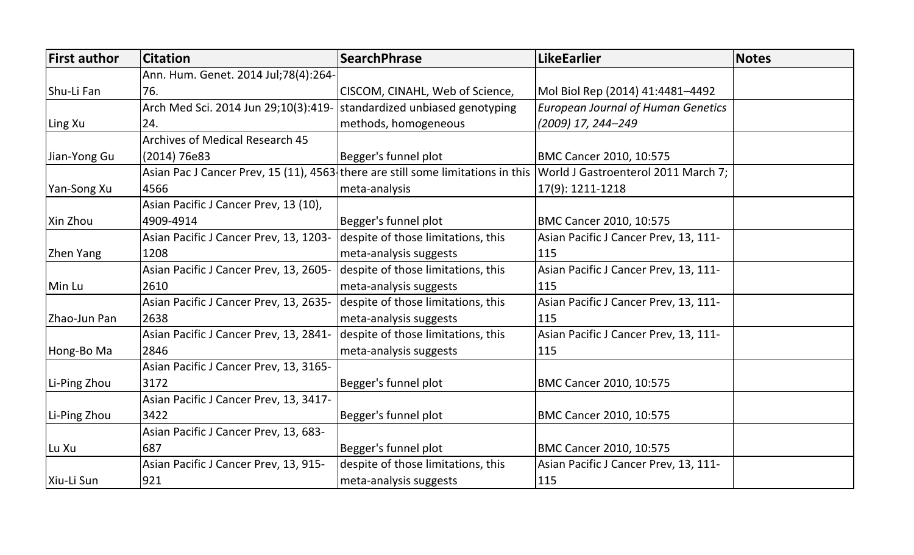| <b>First author</b> | <b>Citation</b>                        | <b>SearchPhrase</b>                                                             | <b>LikeEarlier</b>                        | <b>Notes</b> |
|---------------------|----------------------------------------|---------------------------------------------------------------------------------|-------------------------------------------|--------------|
|                     | Ann. Hum. Genet. 2014 Jul;78(4):264-   |                                                                                 |                                           |              |
| Shu-Li Fan          | 76.                                    | CISCOM, CINAHL, Web of Science,                                                 | Mol Biol Rep (2014) 41:4481–4492          |              |
|                     | Arch Med Sci. 2014 Jun 29;10(3):419-   | standardized unbiased genotyping                                                | <b>European Journal of Human Genetics</b> |              |
| Ling Xu             | 24.                                    | methods, homogeneous                                                            | (2009) 17, 244–249                        |              |
|                     | <b>Archives of Medical Research 45</b> |                                                                                 |                                           |              |
| Jian-Yong Gu        | (2014) 76e83                           | Begger's funnel plot                                                            | <b>BMC Cancer 2010, 10:575</b>            |              |
|                     |                                        | Asian Pac J Cancer Prev, 15 (11), 4563 there are still some limitations in this | World J Gastroenterol 2011 March 7;       |              |
| Yan-Song Xu         | 4566                                   | meta-analysis                                                                   | 17(9): 1211-1218                          |              |
|                     | Asian Pacific J Cancer Prev, 13 (10),  |                                                                                 |                                           |              |
| Xin Zhou            | 4909-4914                              | Begger's funnel plot                                                            | <b>BMC Cancer 2010, 10:575</b>            |              |
|                     | Asian Pacific J Cancer Prev, 13, 1203- | despite of those limitations, this                                              | Asian Pacific J Cancer Prev, 13, 111-     |              |
| Zhen Yang           | 1208                                   | meta-analysis suggests                                                          | 115                                       |              |
|                     | Asian Pacific J Cancer Prev, 13, 2605- | despite of those limitations, this                                              | Asian Pacific J Cancer Prev, 13, 111-     |              |
| Min Lu              | 2610                                   | meta-analysis suggests                                                          | 115                                       |              |
|                     | Asian Pacific J Cancer Prev, 13, 2635- | despite of those limitations, this                                              | Asian Pacific J Cancer Prev, 13, 111-     |              |
| Zhao-Jun Pan        | 2638                                   | meta-analysis suggests                                                          | 115                                       |              |
|                     | Asian Pacific J Cancer Prev, 13, 2841- | despite of those limitations, this                                              | Asian Pacific J Cancer Prev, 13, 111-     |              |
| Hong-Bo Ma          | 2846                                   | meta-analysis suggests                                                          | 115                                       |              |
|                     | Asian Pacific J Cancer Prev, 13, 3165- |                                                                                 |                                           |              |
| Li-Ping Zhou        | 3172                                   | Begger's funnel plot                                                            | <b>BMC Cancer 2010, 10:575</b>            |              |
|                     | Asian Pacific J Cancer Prev, 13, 3417- |                                                                                 |                                           |              |
| Li-Ping Zhou        | 3422                                   | Begger's funnel plot                                                            | <b>BMC Cancer 2010, 10:575</b>            |              |
|                     | Asian Pacific J Cancer Prev, 13, 683-  |                                                                                 |                                           |              |
| Lu Xu               | 1687                                   | Begger's funnel plot                                                            | <b>BMC Cancer 2010, 10:575</b>            |              |
|                     | Asian Pacific J Cancer Prev, 13, 915-  | despite of those limitations, this                                              | Asian Pacific J Cancer Prev, 13, 111-     |              |
| Xiu-Li Sun          | 921                                    | meta-analysis suggests                                                          | 115                                       |              |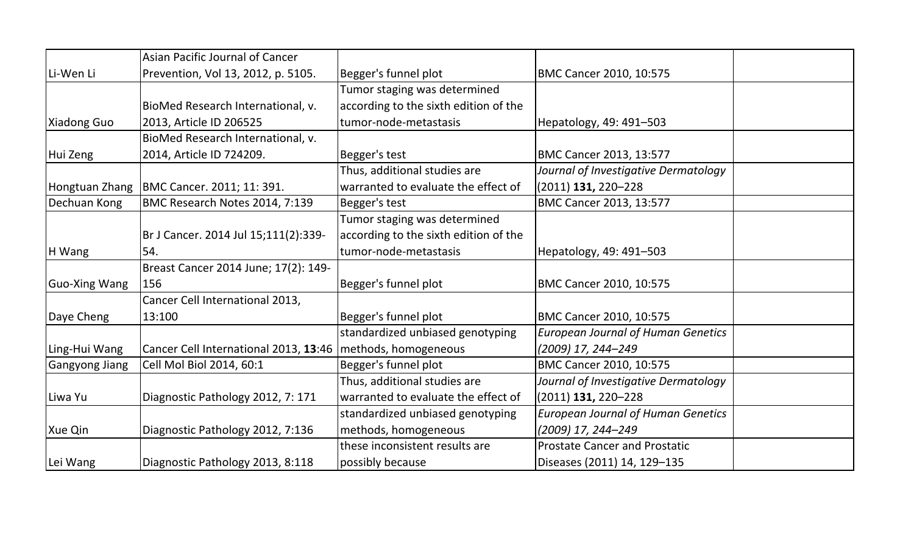|                       | Asian Pacific Journal of Cancer       |                                       |                                           |  |
|-----------------------|---------------------------------------|---------------------------------------|-------------------------------------------|--|
| Li-Wen Li             | Prevention, Vol 13, 2012, p. 5105.    | Begger's funnel plot                  | BMC Cancer 2010, 10:575                   |  |
|                       |                                       | Tumor staging was determined          |                                           |  |
|                       | BioMed Research International, v.     | according to the sixth edition of the |                                           |  |
| Xiadong Guo           | 2013, Article ID 206525               | tumor-node-metastasis                 | Hepatology, 49: 491-503                   |  |
|                       | BioMed Research International, v.     |                                       |                                           |  |
| Hui Zeng              | 2014, Article ID 724209.              | Begger's test                         | BMC Cancer 2013, 13:577                   |  |
|                       |                                       | Thus, additional studies are          | Journal of Investigative Dermatology      |  |
| Hongtuan Zhang        | BMC Cancer. 2011; 11: 391.            | warranted to evaluate the effect of   | (2011) <b>131,</b> 220–228                |  |
| Dechuan Kong          | BMC Research Notes 2014, 7:139        | Begger's test                         | BMC Cancer 2013, 13:577                   |  |
|                       |                                       | Tumor staging was determined          |                                           |  |
|                       | Br J Cancer. 2014 Jul 15;111(2):339-  | according to the sixth edition of the |                                           |  |
| H Wang                | 54.                                   | tumor-node-metastasis                 | Hepatology, 49: 491-503                   |  |
|                       | Breast Cancer 2014 June; 17(2): 149-  |                                       |                                           |  |
| Guo-Xing Wang         | 156                                   | Begger's funnel plot                  | BMC Cancer 2010, 10:575                   |  |
|                       | Cancer Cell International 2013,       |                                       |                                           |  |
| Daye Cheng            | 13:100                                | Begger's funnel plot                  | BMC Cancer 2010, 10:575                   |  |
|                       |                                       | standardized unbiased genotyping      | <b>European Journal of Human Genetics</b> |  |
| Ling-Hui Wang         | Cancer Cell International 2013, 13:46 | methods, homogeneous                  | (2009) 17, 244–249                        |  |
| <b>Gangyong Jiang</b> | Cell Mol Biol 2014, 60:1              | Begger's funnel plot                  | BMC Cancer 2010, 10:575                   |  |
|                       |                                       | Thus, additional studies are          | Journal of Investigative Dermatology      |  |
| Liwa Yu               | Diagnostic Pathology 2012, 7: 171     | warranted to evaluate the effect of   | $(2011)$ 131, 220–228                     |  |
|                       |                                       | standardized unbiased genotyping      | <b>European Journal of Human Genetics</b> |  |
| Xue Qin               | Diagnostic Pathology 2012, 7:136      | methods, homogeneous                  | (2009) 17, 244–249                        |  |
|                       |                                       | these inconsistent results are        | <b>Prostate Cancer and Prostatic</b>      |  |
| Lei Wang              | Diagnostic Pathology 2013, 8:118      | possibly because                      | Diseases (2011) 14, 129-135               |  |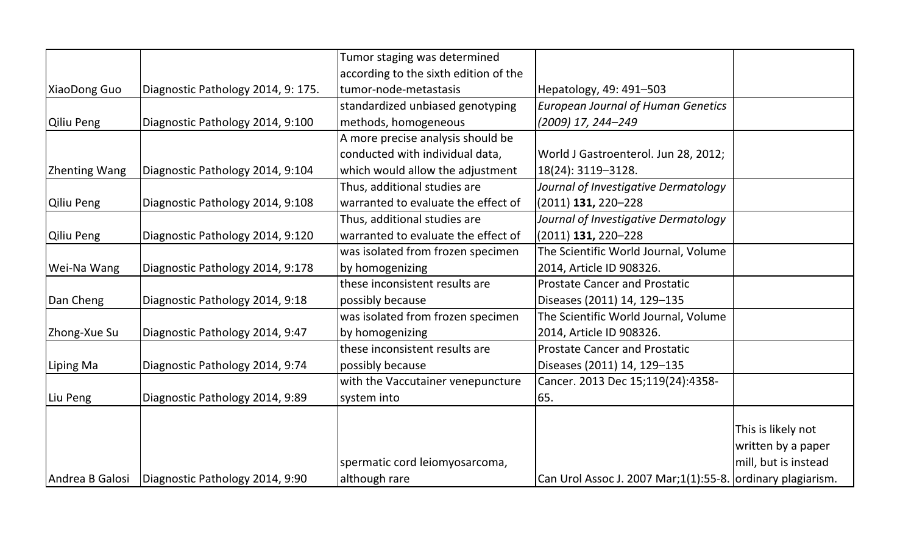|                      |                                    | Tumor staging was determined          |                                                            |                      |
|----------------------|------------------------------------|---------------------------------------|------------------------------------------------------------|----------------------|
|                      |                                    | according to the sixth edition of the |                                                            |                      |
| XiaoDong Guo         | Diagnostic Pathology 2014, 9: 175. | tumor-node-metastasis                 | Hepatology, 49: 491-503                                    |                      |
|                      |                                    | standardized unbiased genotyping      | <b>European Journal of Human Genetics</b>                  |                      |
| Qiliu Peng           | Diagnostic Pathology 2014, 9:100   | methods, homogeneous                  | (2009) 17, 244-249                                         |                      |
|                      |                                    | A more precise analysis should be     |                                                            |                      |
|                      |                                    | conducted with individual data,       | World J Gastroenterol. Jun 28, 2012;                       |                      |
| <b>Zhenting Wang</b> | Diagnostic Pathology 2014, 9:104   | which would allow the adjustment      | 18(24): 3119-3128.                                         |                      |
|                      |                                    | Thus, additional studies are          | Journal of Investigative Dermatology                       |                      |
| Qiliu Peng           | Diagnostic Pathology 2014, 9:108   | warranted to evaluate the effect of   | $(2011)$ 131, 220-228                                      |                      |
|                      |                                    | Thus, additional studies are          | Journal of Investigative Dermatology                       |                      |
| Qiliu Peng           | Diagnostic Pathology 2014, 9:120   | warranted to evaluate the effect of   | $(2011)$ 131, 220-228                                      |                      |
|                      |                                    | was isolated from frozen specimen     | The Scientific World Journal, Volume                       |                      |
| Wei-Na Wang          | Diagnostic Pathology 2014, 9:178   | by homogenizing                       | 2014, Article ID 908326.                                   |                      |
|                      |                                    | these inconsistent results are        | <b>Prostate Cancer and Prostatic</b>                       |                      |
| Dan Cheng            | Diagnostic Pathology 2014, 9:18    | possibly because                      | Diseases (2011) 14, 129-135                                |                      |
|                      |                                    | was isolated from frozen specimen     | The Scientific World Journal, Volume                       |                      |
| Zhong-Xue Su         | Diagnostic Pathology 2014, 9:47    | by homogenizing                       | 2014, Article ID 908326.                                   |                      |
|                      |                                    | these inconsistent results are        | <b>Prostate Cancer and Prostatic</b>                       |                      |
| Liping Ma            | Diagnostic Pathology 2014, 9:74    | possibly because                      | Diseases (2011) 14, 129-135                                |                      |
|                      |                                    | with the Vaccutainer venepuncture     | Cancer. 2013 Dec 15;119(24):4358-                          |                      |
| Liu Peng             | Diagnostic Pathology 2014, 9:89    | system into                           | 65.                                                        |                      |
|                      |                                    |                                       |                                                            |                      |
|                      |                                    |                                       |                                                            | This is likely not   |
|                      |                                    |                                       |                                                            | written by a paper   |
|                      |                                    | spermatic cord leiomyosarcoma,        |                                                            | mill, but is instead |
| Andrea B Galosi      | Diagnostic Pathology 2014, 9:90    | although rare                         | Can Urol Assoc J. 2007 Mar;1(1):55-8. ordinary plagiarism. |                      |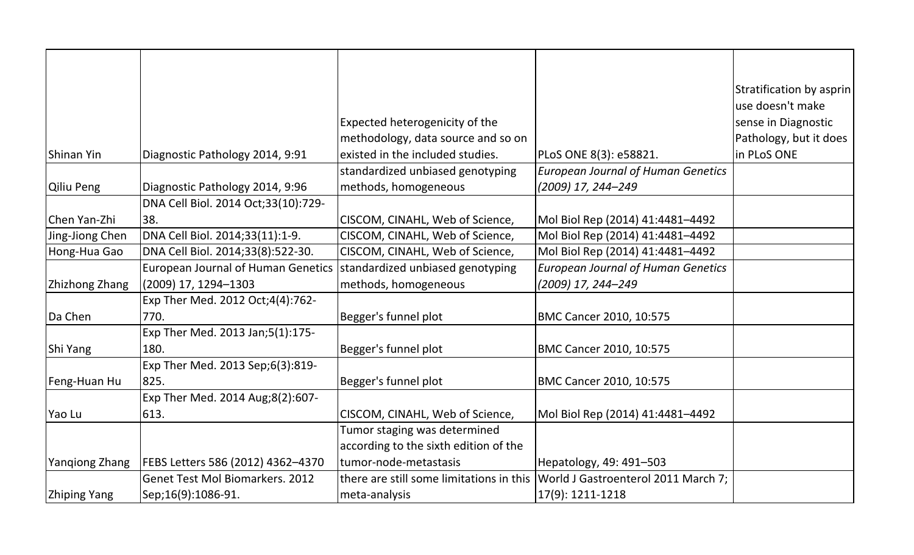|                     |                                           |                                          |                                           | Stratification by asprin |
|---------------------|-------------------------------------------|------------------------------------------|-------------------------------------------|--------------------------|
|                     |                                           |                                          |                                           | use doesn't make         |
|                     |                                           | Expected heterogenicity of the           |                                           | sense in Diagnostic      |
|                     |                                           | methodology, data source and so on       |                                           | Pathology, but it does   |
| Shinan Yin          | Diagnostic Pathology 2014, 9:91           | existed in the included studies.         | PLoS ONE 8(3): e58821.                    | in PLoS ONE              |
|                     |                                           | standardized unbiased genotyping         | <b>European Journal of Human Genetics</b> |                          |
| Qiliu Peng          | Diagnostic Pathology 2014, 9:96           | methods, homogeneous                     | (2009) 17, 244-249                        |                          |
|                     | DNA Cell Biol. 2014 Oct;33(10):729-       |                                          |                                           |                          |
| Chen Yan-Zhi        | 38.                                       | CISCOM, CINAHL, Web of Science,          | Mol Biol Rep (2014) 41:4481-4492          |                          |
| Jing-Jiong Chen     | DNA Cell Biol. 2014;33(11):1-9.           | CISCOM, CINAHL, Web of Science,          | Mol Biol Rep (2014) 41:4481-4492          |                          |
| Hong-Hua Gao        | DNA Cell Biol. 2014;33(8):522-30.         | CISCOM, CINAHL, Web of Science,          | Mol Biol Rep (2014) 41:4481-4492          |                          |
|                     | <b>European Journal of Human Genetics</b> | standardized unbiased genotyping         | <b>European Journal of Human Genetics</b> |                          |
| Zhizhong Zhang      | (2009) 17, 1294-1303                      | methods, homogeneous                     | (2009) 17, 244-249                        |                          |
|                     | Exp Ther Med. 2012 Oct;4(4):762-          |                                          |                                           |                          |
| Da Chen             | 770.                                      | Begger's funnel plot                     | BMC Cancer 2010, 10:575                   |                          |
|                     | Exp Ther Med. 2013 Jan;5(1):175-          |                                          |                                           |                          |
| Shi Yang            | 180.                                      | Begger's funnel plot                     | BMC Cancer 2010, 10:575                   |                          |
|                     | Exp Ther Med. 2013 Sep;6(3):819-          |                                          |                                           |                          |
| Feng-Huan Hu        | 825.                                      | Begger's funnel plot                     | BMC Cancer 2010, 10:575                   |                          |
|                     | Exp Ther Med. 2014 Aug;8(2):607-          |                                          |                                           |                          |
| Yao Lu              | 613.                                      | CISCOM, CINAHL, Web of Science,          | Mol Biol Rep (2014) 41:4481-4492          |                          |
|                     |                                           | Tumor staging was determined             |                                           |                          |
|                     |                                           | according to the sixth edition of the    |                                           |                          |
| Yangiong Zhang      | FEBS Letters 586 (2012) 4362-4370         | tumor-node-metastasis                    | Hepatology, 49: 491-503                   |                          |
|                     | Genet Test Mol Biomarkers. 2012           | there are still some limitations in this | World J Gastroenterol 2011 March 7;       |                          |
| <b>Zhiping Yang</b> | Sep;16(9):1086-91.                        | meta-analysis                            | 17(9): 1211-1218                          |                          |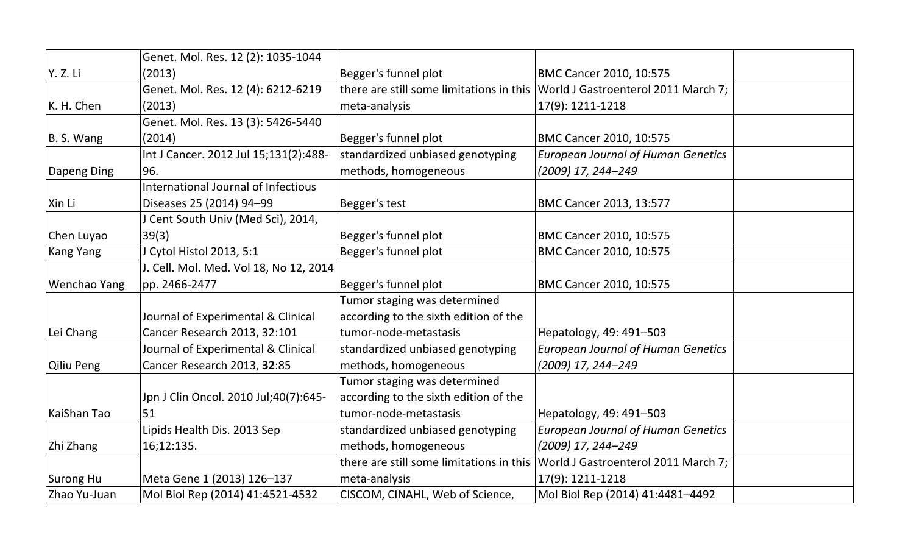|              | Genet. Mol. Res. 12 (2): 1035-1044     |                                          |                                           |  |
|--------------|----------------------------------------|------------------------------------------|-------------------------------------------|--|
| Y. Z. Li     | (2013)                                 | Begger's funnel plot                     | <b>BMC Cancer 2010, 10:575</b>            |  |
|              | Genet. Mol. Res. 12 (4): 6212-6219     | there are still some limitations in this | World J Gastroenterol 2011 March 7;       |  |
| K. H. Chen   | (2013)                                 | meta-analysis                            | 17(9): 1211-1218                          |  |
|              | Genet. Mol. Res. 13 (3): 5426-5440     |                                          |                                           |  |
|              |                                        |                                          |                                           |  |
| B. S. Wang   | (2014)                                 | Begger's funnel plot                     | <b>BMC Cancer 2010, 10:575</b>            |  |
|              | Int J Cancer. 2012 Jul 15;131(2):488-  | standardized unbiased genotyping         | <b>European Journal of Human Genetics</b> |  |
| Dapeng Ding  | 96.                                    | methods, homogeneous                     | (2009) 17, 244-249                        |  |
|              | International Journal of Infectious    |                                          |                                           |  |
| Xin Li       | Diseases 25 (2014) 94-99               | Begger's test                            | <b>BMC Cancer 2013, 13:577</b>            |  |
|              | J Cent South Univ (Med Sci), 2014,     |                                          |                                           |  |
| Chen Luyao   | 39(3)                                  | Begger's funnel plot                     | <b>BMC Cancer 2010, 10:575</b>            |  |
| Kang Yang    | J Cytol Histol 2013, 5:1               | Begger's funnel plot                     | BMC Cancer 2010, 10:575                   |  |
|              | J. Cell. Mol. Med. Vol 18, No 12, 2014 |                                          |                                           |  |
| Wenchao Yang | pp. 2466-2477                          | Begger's funnel plot                     | BMC Cancer 2010, 10:575                   |  |
|              |                                        | Tumor staging was determined             |                                           |  |
|              | Journal of Experimental & Clinical     | according to the sixth edition of the    |                                           |  |
| Lei Chang    | Cancer Research 2013, 32:101           | tumor-node-metastasis                    | Hepatology, 49: 491-503                   |  |
|              | Journal of Experimental & Clinical     | standardized unbiased genotyping         | <b>European Journal of Human Genetics</b> |  |
| Qiliu Peng   | Cancer Research 2013, 32:85            | methods, homogeneous                     | (2009) 17, 244–249                        |  |
|              |                                        | Tumor staging was determined             |                                           |  |
|              | Jpn J Clin Oncol. 2010 Jul;40(7):645-  | according to the sixth edition of the    |                                           |  |
| KaiShan Tao  | 51                                     | tumor-node-metastasis                    | Hepatology, 49: 491-503                   |  |
|              | Lipids Health Dis. 2013 Sep            | standardized unbiased genotyping         | <b>European Journal of Human Genetics</b> |  |
| Zhi Zhang    | 16;12:135.                             | methods, homogeneous                     | (2009) 17, 244-249                        |  |
|              |                                        | there are still some limitations in this | World J Gastroenterol 2011 March 7;       |  |
| Surong Hu    | Meta Gene 1 (2013) 126-137             | meta-analysis                            | 17(9): 1211-1218                          |  |
| Zhao Yu-Juan | Mol Biol Rep (2014) 41:4521-4532       | CISCOM, CINAHL, Web of Science,          | Mol Biol Rep (2014) 41:4481-4492          |  |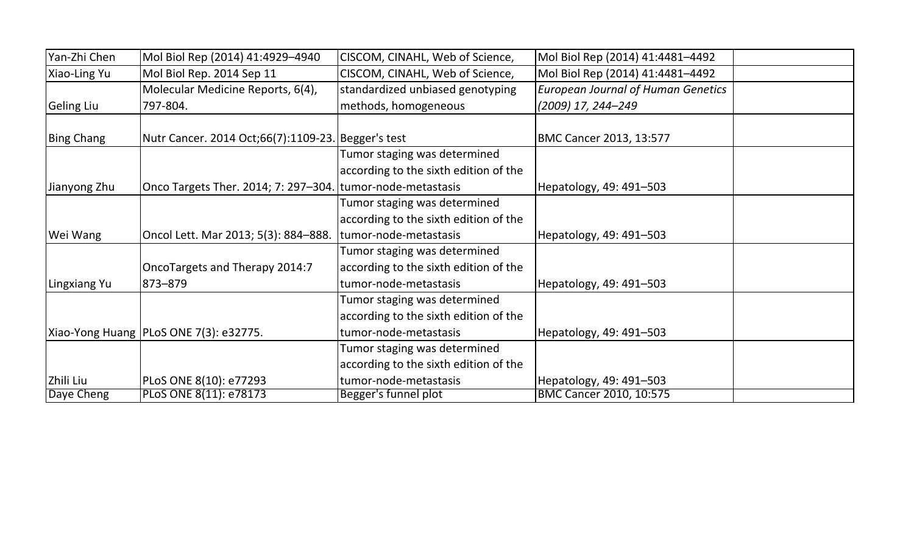| Yan-Zhi Chen | Mol Biol Rep (2014) 41:4929-4940                           | CISCOM, CINAHL, Web of Science,       | Mol Biol Rep (2014) 41:4481-4492          |  |
|--------------|------------------------------------------------------------|---------------------------------------|-------------------------------------------|--|
| Xiao-Ling Yu | Mol Biol Rep. 2014 Sep 11                                  | CISCOM, CINAHL, Web of Science,       | Mol Biol Rep (2014) 41:4481-4492          |  |
|              | Molecular Medicine Reports, 6(4),                          | standardized unbiased genotyping      | <b>European Journal of Human Genetics</b> |  |
| Geling Liu   | 797-804.                                                   | methods, homogeneous                  | (2009) 17, 244–249                        |  |
|              |                                                            |                                       |                                           |  |
| Bing Chang   | Nutr Cancer. 2014 Oct;66(7):1109-23. Begger's test         |                                       | BMC Cancer 2013, 13:577                   |  |
|              |                                                            | Tumor staging was determined          |                                           |  |
|              |                                                            | according to the sixth edition of the |                                           |  |
| Jianyong Zhu | Onco Targets Ther. 2014; 7: 297–304. tumor-node-metastasis |                                       | Hepatology, 49: 491-503                   |  |
|              |                                                            | Tumor staging was determined          |                                           |  |
|              |                                                            | according to the sixth edition of the |                                           |  |
| Wei Wang     | Oncol Lett. Mar 2013; 5(3): 884-888.                       | tumor-node-metastasis                 | Hepatology, 49: 491-503                   |  |
|              |                                                            | Tumor staging was determined          |                                           |  |
|              | OncoTargets and Therapy 2014:7                             | according to the sixth edition of the |                                           |  |
| Lingxiang Yu | 873-879                                                    | tumor-node-metastasis                 | Hepatology, 49: 491-503                   |  |
|              |                                                            | Tumor staging was determined          |                                           |  |
|              |                                                            | according to the sixth edition of the |                                           |  |
|              | Xiao-Yong Huang   PLoS ONE 7(3): e32775.                   | tumor-node-metastasis                 | Hepatology, 49: 491-503                   |  |
|              |                                                            | Tumor staging was determined          |                                           |  |
|              |                                                            | according to the sixth edition of the |                                           |  |
| Zhili Liu    | PLoS ONE 8(10): e77293                                     | tumor-node-metastasis                 | Hepatology, 49: 491-503                   |  |
| Daye Cheng   | PLoS ONE 8(11): e78173                                     | Begger's funnel plot                  | BMC Cancer 2010, 10:575                   |  |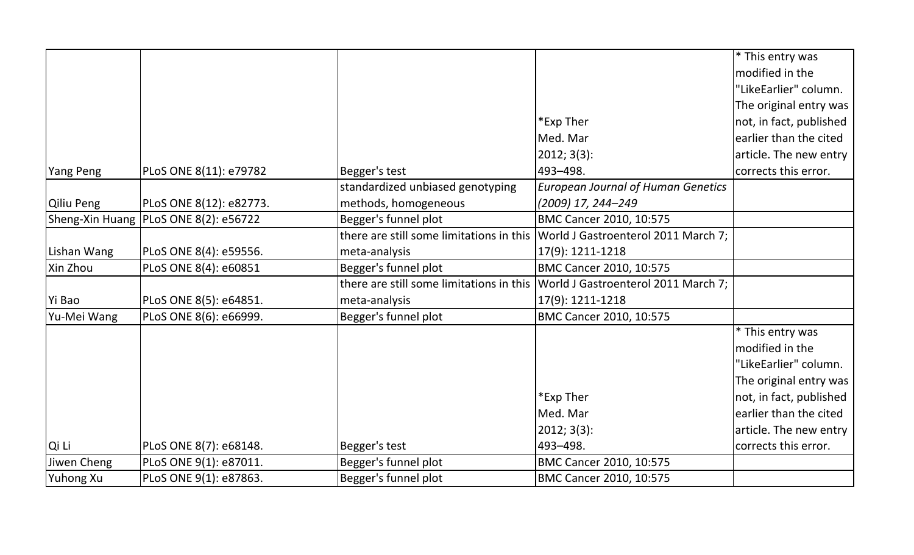|             |                                         |                                          |                                           | <sup>*</sup> This entry was |
|-------------|-----------------------------------------|------------------------------------------|-------------------------------------------|-----------------------------|
|             |                                         |                                          |                                           | modified in the             |
|             |                                         |                                          |                                           | "LikeEarlier" column.       |
|             |                                         |                                          |                                           | The original entry was      |
|             |                                         |                                          | *Exp Ther                                 | not, in fact, published     |
|             |                                         |                                          | Med. Mar                                  | earlier than the cited      |
|             |                                         |                                          | 2012; 3(3):                               | article. The new entry      |
| Yang Peng   | PLoS ONE 8(11): e79782                  | Begger's test                            | 493-498.                                  | corrects this error.        |
|             |                                         | standardized unbiased genotyping         | <b>European Journal of Human Genetics</b> |                             |
| Qiliu Peng  | PLoS ONE 8(12): e82773.                 | methods, homogeneous                     | (2009) 17, 244-249                        |                             |
|             | Sheng-Xin Huang   PLoS ONE 8(2): e56722 | Begger's funnel plot                     | BMC Cancer 2010, 10:575                   |                             |
|             |                                         | there are still some limitations in this | World J Gastroenterol 2011 March 7;       |                             |
| Lishan Wang | PLoS ONE 8(4): e59556.                  | meta-analysis                            | 17(9): 1211-1218                          |                             |
| Xin Zhou    | PLoS ONE 8(4): e60851                   | Begger's funnel plot                     | <b>BMC Cancer 2010, 10:575</b>            |                             |
|             |                                         | there are still some limitations in this | World J Gastroenterol 2011 March 7;       |                             |
| Yi Bao      | PLoS ONE 8(5): e64851.                  | meta-analysis                            | 17(9): 1211-1218                          |                             |
| Yu-Mei Wang | PLoS ONE 8(6): e66999.                  | Begger's funnel plot                     | BMC Cancer 2010, 10:575                   |                             |
|             |                                         |                                          |                                           | * This entry was            |
|             |                                         |                                          |                                           | modified in the             |
|             |                                         |                                          |                                           | "LikeEarlier" column.       |
|             |                                         |                                          |                                           | The original entry was      |
|             |                                         |                                          | *Exp Ther                                 | not, in fact, published     |
|             |                                         |                                          | Med. Mar                                  | earlier than the cited      |
|             |                                         |                                          | 2012; 3(3):                               | article. The new entry      |
| Qi Li       | PLoS ONE 8(7): e68148.                  | Begger's test                            | 493-498.                                  | corrects this error.        |
| Jiwen Cheng | PLoS ONE 9(1): e87011.                  | Begger's funnel plot                     | BMC Cancer 2010, 10:575                   |                             |
| Yuhong Xu   | PLoS ONE 9(1): e87863.                  | Begger's funnel plot                     | BMC Cancer 2010, 10:575                   |                             |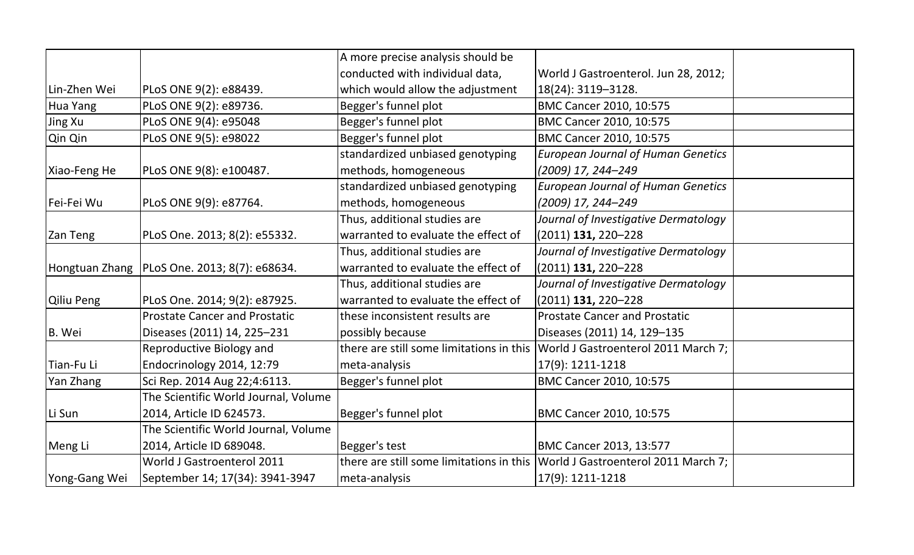|               |                                                | A more precise analysis should be        |                                           |  |
|---------------|------------------------------------------------|------------------------------------------|-------------------------------------------|--|
|               |                                                | conducted with individual data,          | World J Gastroenterol. Jun 28, 2012;      |  |
| Lin-Zhen Wei  | PLoS ONE 9(2): e88439.                         | which would allow the adjustment         | 18(24): 3119-3128.                        |  |
| Hua Yang      | PLoS ONE 9(2): e89736.                         | Begger's funnel plot                     | BMC Cancer 2010, 10:575                   |  |
| Jing Xu       | PLoS ONE 9(4): e95048                          | Begger's funnel plot                     | BMC Cancer 2010, 10:575                   |  |
| Qin Qin       | PLoS ONE 9(5): e98022                          | Begger's funnel plot                     | BMC Cancer 2010, 10:575                   |  |
|               |                                                | standardized unbiased genotyping         | <b>European Journal of Human Genetics</b> |  |
| Xiao-Feng He  | PLoS ONE 9(8): e100487.                        | methods, homogeneous                     | (2009) 17, 244-249                        |  |
|               |                                                | standardized unbiased genotyping         | <b>European Journal of Human Genetics</b> |  |
| Fei-Fei Wu    | PLoS ONE 9(9): e87764.                         | methods, homogeneous                     | (2009) 17, 244-249                        |  |
|               |                                                | Thus, additional studies are             | Journal of Investigative Dermatology      |  |
| Zan Teng      | PLoS One. 2013; 8(2): e55332.                  | warranted to evaluate the effect of      | (2011) 131, 220-228                       |  |
|               |                                                | Thus, additional studies are             | Journal of Investigative Dermatology      |  |
|               | Hongtuan Zhang   PLoS One. 2013; 8(7): e68634. | warranted to evaluate the effect of      | $(2011)$ 131, 220-228                     |  |
|               |                                                | Thus, additional studies are             | Journal of Investigative Dermatology      |  |
| Qiliu Peng    | PLoS One. 2014; 9(2): e87925.                  | warranted to evaluate the effect of      | $(2011)$ 131, 220-228                     |  |
|               | <b>Prostate Cancer and Prostatic</b>           | these inconsistent results are           | <b>Prostate Cancer and Prostatic</b>      |  |
| B. Wei        | Diseases (2011) 14, 225-231                    | possibly because                         | Diseases (2011) 14, 129-135               |  |
|               | Reproductive Biology and                       | there are still some limitations in this | World J Gastroenterol 2011 March 7;       |  |
| Tian-Fu Li    | Endocrinology 2014, 12:79                      | meta-analysis                            | 17(9): 1211-1218                          |  |
| Yan Zhang     | Sci Rep. 2014 Aug 22;4:6113.                   | Begger's funnel plot                     | BMC Cancer 2010, 10:575                   |  |
|               | The Scientific World Journal, Volume           |                                          |                                           |  |
| Li Sun        | 2014, Article ID 624573.                       | Begger's funnel plot                     | BMC Cancer 2010, 10:575                   |  |
|               | The Scientific World Journal, Volume           |                                          |                                           |  |
| Meng Li       | 2014, Article ID 689048.                       | Begger's test                            | <b>BMC Cancer 2013, 13:577</b>            |  |
|               | World J Gastroenterol 2011                     | there are still some limitations in this | World J Gastroenterol 2011 March 7;       |  |
| Yong-Gang Wei | September 14; 17(34): 3941-3947                | meta-analysis                            | 17(9): 1211-1218                          |  |